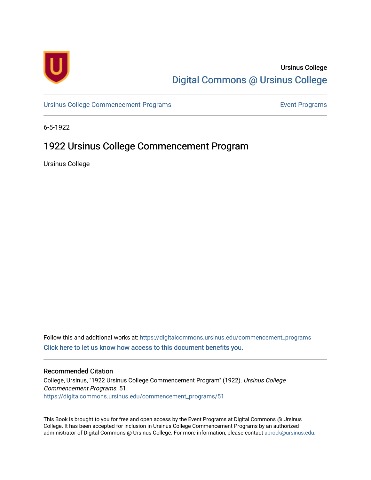

## Ursinus College [Digital Commons @ Ursinus College](https://digitalcommons.ursinus.edu/)

[Ursinus College Commencement Programs](https://digitalcommons.ursinus.edu/commencement_programs) **Event Programs** Event Programs

6-5-1922

# 1922 Ursinus College Commencement Program

Ursinus College

Follow this and additional works at: [https://digitalcommons.ursinus.edu/commencement\\_programs](https://digitalcommons.ursinus.edu/commencement_programs?utm_source=digitalcommons.ursinus.edu%2Fcommencement_programs%2F51&utm_medium=PDF&utm_campaign=PDFCoverPages)  [Click here to let us know how access to this document benefits you.](https://ursinus.co1.qualtrics.com/jfe/form/SV_1RIyfqzdxsWfMQ5) 

### Recommended Citation

College, Ursinus, "1922 Ursinus College Commencement Program" (1922). Ursinus College Commencement Programs. 51. [https://digitalcommons.ursinus.edu/commencement\\_programs/51](https://digitalcommons.ursinus.edu/commencement_programs/51?utm_source=digitalcommons.ursinus.edu%2Fcommencement_programs%2F51&utm_medium=PDF&utm_campaign=PDFCoverPages)

This Book is brought to you for free and open access by the Event Programs at Digital Commons @ Ursinus College. It has been accepted for inclusion in Ursinus College Commencement Programs by an authorized administrator of Digital Commons @ Ursinus College. For more information, please contact [aprock@ursinus.edu.](mailto:aprock@ursinus.edu)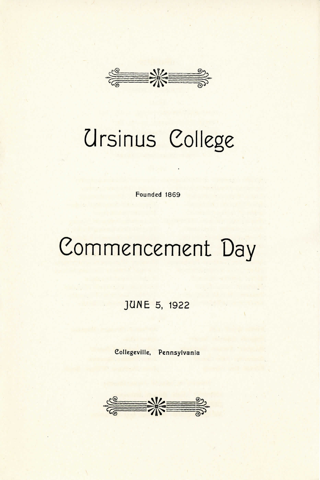

# Ursinus College

**Founded 1869** 

# Commencement Day

**JUNE** 5, 1922

**Collegeville, Pennsylvania** 

 $\frac{2}{\sqrt{2}}$   $\frac{1}{\sqrt{2}}$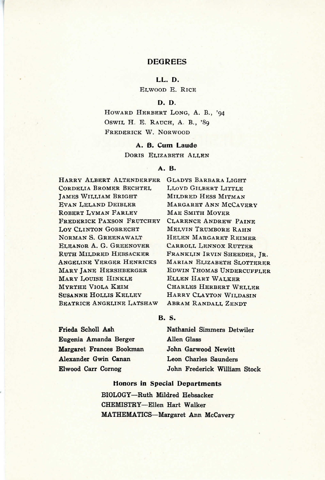#### **DEGREES**

**L L . D.** 

ELWOOD E. RICE

#### **D. D.**

HOWARD HERBERT LONG, A. B., '94 OSWIL H. E. RAUCH, A. B., '89 **FREDERICK W. NORWOOD** 

#### A. B. Cum Laude

**DORIS ELIZABETH ALLEN** 

#### **A . B .**

**HARR Y ALBER T ALTENDERPE R CORDELIA BROMER BECHTEL JAMES WILLIAM BRIGHT EVAN LELAND DEIBLER ROBERT LYMAN FARLEY FREDERICK PAXSON FRUTCHEY** LOV CLINTON GOBRECHT **NORMAN S. GREENAWALT ELEANOR A. G. GREENOVER RUTH MILDRED HEBSACKER ANGELINE YERGER HENRICKS MAR Y JAN E HERSHBERGE R MAR Y LOUIS E HINKL E MYRTH E VIOL A KEI M SUSANNE HOLLIS KELLEY BEATRICE ANGELINE LATSHAW** 

GLADYS BARBARA LIGHT **LLOYD GILBERT LITTLE MILDRED HESS MITMAN MARGARET ANN MCCAVERY MAE SMITH MOYER CLARENC E ANDRE W PAIN E MELVI N TRUMBOR E RAH N HELEN MARGARET REIMER CARROLL LENNOX RUTTER** FRANKLIN IRVIN SHEEDER, JR. **MARIAN ELIZABETH SLOTTERER EDWIN THOMAS UNDERCUFFLER ELLEN HART WALKER CHARLE S HERBER T WELLE R HARRY CLAYTON WILDASIN ABRAM RANDALL ZENDT** 

#### **B . S .**

**Frieda Scholl Ash Eugenia Amanda Berger Margaret Frances Bookman Alexander Gwin Canan Elwood Carr Cornog** 

**Nathaniel Simmers Detwiler Allen Glass John Garwood Newitt Leon Charles Saunders John Frederick William Stock** 

#### **Honors in Special Departments**

**BIOLOGY—Ruth Mildred Hebsacker CHEMISTRY—Ellen Hart Walker MATHEMATICS—Margaret Ann McCavery**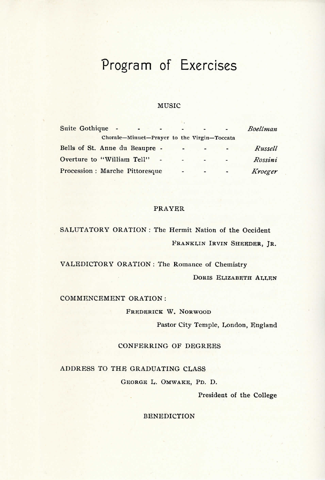# Program of Exercises

#### **MUSIC**

| Suite Gothique - | and the state of the state of               | <b>Contract Contract Street</b> | $\sim 10^{11}$ | $\sim$                   | Boellman |
|------------------|---------------------------------------------|---------------------------------|----------------|--------------------------|----------|
|                  | Chorale-Minuet-Prayer to the Virgin-Toccata |                                 |                |                          |          |
|                  | Bells of St. Anne du Beaupre -              | $\overline{\phantom{a}}$        | $\rightarrow$  |                          | Russell  |
|                  | Overture to "William Tell"                  |                                 | $-$            | $\overline{\phantom{a}}$ | Rossini  |
|                  | Procession : Marche Pittoresque             | $\blacksquare$                  | $\overline{a}$ | $\sim$                   | Kroeger  |

#### **PRAYER**

SALUTATORY ORATION : The Hermit Nation of the Occident **FRANKLIN IRVIN SHEEDER, JR.** 

VALEDICTORY ORATION : The Romance of Chemistry **DORIS ELIZABETH ALLEN** 

COMMENCEMENT ORATION :

**FREDERICK W. NORWOOD** 

Pastor City Temple, London, England

CONFERRING OF DEGREES

ADDRESS TO THE GRADUATING CLASS

**GEORG E L . OMWAKE , PD . D .** 

President of the College

**BENEDICTION**